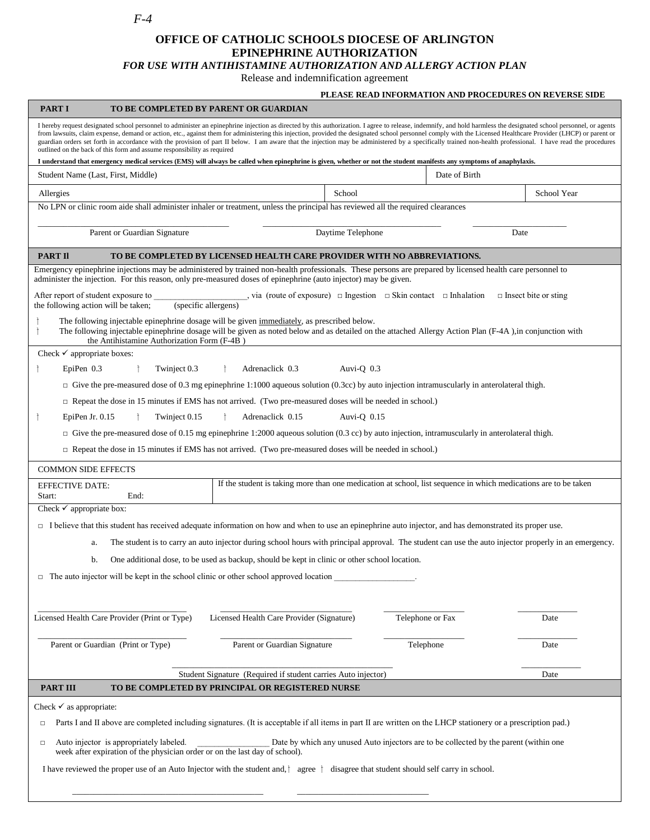*F-4*

## **OFFICE OF CATHOLIC SCHOOLS DIOCESE OF ARLINGTON EPINEPHRINE AUTHORIZATION**

*FOR USE WITH ANTIHISTAMINE AUTHORIZATION AND ALLERGY ACTION PLAN*

Release and indemnification agreement

## **PLEASE READ INFORMATION AND PROCEDURES ON REVERSE SIDE**

| <b>PART I</b>                                                                                                                                                                                                                                                                                                                                                                                                                                                                                                                                                                                                                                                                                                                                                                                                                                                                                            | TO BE COMPLETED BY PARENT OR GUARDIAN                                                                           |              |                  |             |  |
|----------------------------------------------------------------------------------------------------------------------------------------------------------------------------------------------------------------------------------------------------------------------------------------------------------------------------------------------------------------------------------------------------------------------------------------------------------------------------------------------------------------------------------------------------------------------------------------------------------------------------------------------------------------------------------------------------------------------------------------------------------------------------------------------------------------------------------------------------------------------------------------------------------|-----------------------------------------------------------------------------------------------------------------|--------------|------------------|-------------|--|
| I hereby request designated school personnel to administer an epinephrine injection as directed by this authorization. I agree to release, indemnify, and hold harmless the designated school personnel, or agents<br>from lawsuits, claim expense, demand or action, etc., against them for administering this injection, provided the designated school personnel comply with the Licensed Healthcare Provider (LHCP) or parent or<br>guardian orders set forth in accordance with the provision of part II below. I am aware that the injection may be administered by a specifically trained non-health professional. I have read the procedures<br>outlined on the back of this form and assume responsibility as required<br>I understand that emergency medical services (EMS) will always be called when epinephrine is given, whether or not the student manifests any symptoms of anaphylaxis. |                                                                                                                 |              |                  |             |  |
| Student Name (Last, First, Middle)                                                                                                                                                                                                                                                                                                                                                                                                                                                                                                                                                                                                                                                                                                                                                                                                                                                                       |                                                                                                                 |              | Date of Birth    |             |  |
| Allergies                                                                                                                                                                                                                                                                                                                                                                                                                                                                                                                                                                                                                                                                                                                                                                                                                                                                                                |                                                                                                                 | School       |                  | School Year |  |
| No LPN or clinic room aide shall administer inhaler or treatment, unless the principal has reviewed all the required clearances                                                                                                                                                                                                                                                                                                                                                                                                                                                                                                                                                                                                                                                                                                                                                                          |                                                                                                                 |              |                  |             |  |
|                                                                                                                                                                                                                                                                                                                                                                                                                                                                                                                                                                                                                                                                                                                                                                                                                                                                                                          |                                                                                                                 |              |                  |             |  |
| Parent or Guardian Signature                                                                                                                                                                                                                                                                                                                                                                                                                                                                                                                                                                                                                                                                                                                                                                                                                                                                             | Daytime Telephone<br>Date                                                                                       |              |                  |             |  |
| <b>PART II</b><br>TO BE COMPLETED BY LICENSED HEALTH CARE PROVIDER WITH NO ABBREVIATIONS.                                                                                                                                                                                                                                                                                                                                                                                                                                                                                                                                                                                                                                                                                                                                                                                                                |                                                                                                                 |              |                  |             |  |
| Emergency epinephrine injections may be administered by trained non-health professionals. These persons are prepared by licensed health care personnel to<br>administer the injection. For this reason, only pre-measured doses of epinephrine (auto injector) may be given.                                                                                                                                                                                                                                                                                                                                                                                                                                                                                                                                                                                                                             |                                                                                                                 |              |                  |             |  |
| $\Box$ , via (route of exposure) $\Box$ Ingestion $\Box$ Skin contact $\Box$ Inhalation<br>$\Box$ Insect bite or sting<br>After report of student exposure to<br>(specific allergens)<br>the following action will be taken;                                                                                                                                                                                                                                                                                                                                                                                                                                                                                                                                                                                                                                                                             |                                                                                                                 |              |                  |             |  |
| The following injectable epinephrine dosage will be given immediately, as prescribed below.<br>The following injectable epinephrine dosage will be given as noted below and as detailed on the attached Allergy Action Plan (F-4A), in conjunction with<br>Ť<br>the Antihistamine Authorization Form (F-4B)                                                                                                                                                                                                                                                                                                                                                                                                                                                                                                                                                                                              |                                                                                                                 |              |                  |             |  |
| Check $\checkmark$ appropriate boxes:                                                                                                                                                                                                                                                                                                                                                                                                                                                                                                                                                                                                                                                                                                                                                                                                                                                                    |                                                                                                                 |              |                  |             |  |
| EpiPen 0.3<br>Twinject 0.3<br>Ť                                                                                                                                                                                                                                                                                                                                                                                                                                                                                                                                                                                                                                                                                                                                                                                                                                                                          | Adrenaclick 0.3                                                                                                 | Auvi-Q $0.3$ |                  |             |  |
| $\Box$ Give the pre-measured dose of 0.3 mg epinephrine 1:1000 aqueous solution (0.3cc) by auto injection intramuscularly in anterolateral thigh.                                                                                                                                                                                                                                                                                                                                                                                                                                                                                                                                                                                                                                                                                                                                                        |                                                                                                                 |              |                  |             |  |
| $\Box$ Repeat the dose in 15 minutes if EMS has not arrived. (Two pre-measured doses will be needed in school.)                                                                                                                                                                                                                                                                                                                                                                                                                                                                                                                                                                                                                                                                                                                                                                                          |                                                                                                                 |              |                  |             |  |
| Twinject 0.15<br>Adrenaclick 0.15<br>Auvi-Q $0.15$<br>EpiPen Jr. $0.15$<br>$\mathsf{L}$                                                                                                                                                                                                                                                                                                                                                                                                                                                                                                                                                                                                                                                                                                                                                                                                                  |                                                                                                                 |              |                  |             |  |
| $\Box$ Give the pre-measured dose of 0.15 mg epinephrine 1:2000 aqueous solution (0.3 cc) by auto injection, intramuscularly in anterolateral thigh.                                                                                                                                                                                                                                                                                                                                                                                                                                                                                                                                                                                                                                                                                                                                                     |                                                                                                                 |              |                  |             |  |
| $\Box$ Repeat the dose in 15 minutes if EMS has not arrived. (Two pre-measured doses will be needed in school.)                                                                                                                                                                                                                                                                                                                                                                                                                                                                                                                                                                                                                                                                                                                                                                                          |                                                                                                                 |              |                  |             |  |
| <b>COMMON SIDE EFFECTS</b>                                                                                                                                                                                                                                                                                                                                                                                                                                                                                                                                                                                                                                                                                                                                                                                                                                                                               |                                                                                                                 |              |                  |             |  |
| <b>EFFECTIVE DATE:</b><br>End:<br>Start:                                                                                                                                                                                                                                                                                                                                                                                                                                                                                                                                                                                                                                                                                                                                                                                                                                                                 | If the student is taking more than one medication at school, list sequence in which medications are to be taken |              |                  |             |  |
| Check $\checkmark$ appropriate box:                                                                                                                                                                                                                                                                                                                                                                                                                                                                                                                                                                                                                                                                                                                                                                                                                                                                      |                                                                                                                 |              |                  |             |  |
| $\Box$ I believe that this student has received adequate information on how and when to use an epinephrine auto injector, and has demonstrated its proper use.                                                                                                                                                                                                                                                                                                                                                                                                                                                                                                                                                                                                                                                                                                                                           |                                                                                                                 |              |                  |             |  |
| The student is to carry an auto injector during school hours with principal approval. The student can use the auto injector properly in an emergency.<br>a.                                                                                                                                                                                                                                                                                                                                                                                                                                                                                                                                                                                                                                                                                                                                              |                                                                                                                 |              |                  |             |  |
| b.<br>One additional dose, to be used as backup, should be kept in clinic or other school location.                                                                                                                                                                                                                                                                                                                                                                                                                                                                                                                                                                                                                                                                                                                                                                                                      |                                                                                                                 |              |                  |             |  |
| $\Box$ The auto injector will be kept in the school clinic or other school approved location                                                                                                                                                                                                                                                                                                                                                                                                                                                                                                                                                                                                                                                                                                                                                                                                             |                                                                                                                 |              |                  |             |  |
|                                                                                                                                                                                                                                                                                                                                                                                                                                                                                                                                                                                                                                                                                                                                                                                                                                                                                                          |                                                                                                                 |              |                  |             |  |
| Licensed Health Care Provider (Print or Type)                                                                                                                                                                                                                                                                                                                                                                                                                                                                                                                                                                                                                                                                                                                                                                                                                                                            | Licensed Health Care Provider (Signature)                                                                       |              | Telephone or Fax | Date        |  |
| Parent or Guardian (Print or Type)                                                                                                                                                                                                                                                                                                                                                                                                                                                                                                                                                                                                                                                                                                                                                                                                                                                                       | Parent or Guardian Signature                                                                                    |              | Telephone        | Date        |  |
|                                                                                                                                                                                                                                                                                                                                                                                                                                                                                                                                                                                                                                                                                                                                                                                                                                                                                                          | Student Signature (Required if student carries Auto injector)                                                   |              |                  | Date        |  |
| <b>PART III</b>                                                                                                                                                                                                                                                                                                                                                                                                                                                                                                                                                                                                                                                                                                                                                                                                                                                                                          | TO BE COMPLETED BY PRINCIPAL OR REGISTERED NURSE                                                                |              |                  |             |  |
| Check $\checkmark$ as appropriate:                                                                                                                                                                                                                                                                                                                                                                                                                                                                                                                                                                                                                                                                                                                                                                                                                                                                       |                                                                                                                 |              |                  |             |  |
| Parts I and II above are completed including signatures. (It is acceptable if all items in part II are written on the LHCP stationery or a prescription pad.)<br>$\Box$                                                                                                                                                                                                                                                                                                                                                                                                                                                                                                                                                                                                                                                                                                                                  |                                                                                                                 |              |                  |             |  |
| Auto injector is appropriately labeled.<br>Date by which any unused Auto injectors are to be collected by the parent (within one<br>$\Box$<br>week after expiration of the physician order or on the last day of school).                                                                                                                                                                                                                                                                                                                                                                                                                                                                                                                                                                                                                                                                                |                                                                                                                 |              |                  |             |  |
| I have reviewed the proper use of an Auto Injector with the student and, $\dagger$ agree $\dagger$ disagree that student should self carry in school.                                                                                                                                                                                                                                                                                                                                                                                                                                                                                                                                                                                                                                                                                                                                                    |                                                                                                                 |              |                  |             |  |
|                                                                                                                                                                                                                                                                                                                                                                                                                                                                                                                                                                                                                                                                                                                                                                                                                                                                                                          |                                                                                                                 |              |                  |             |  |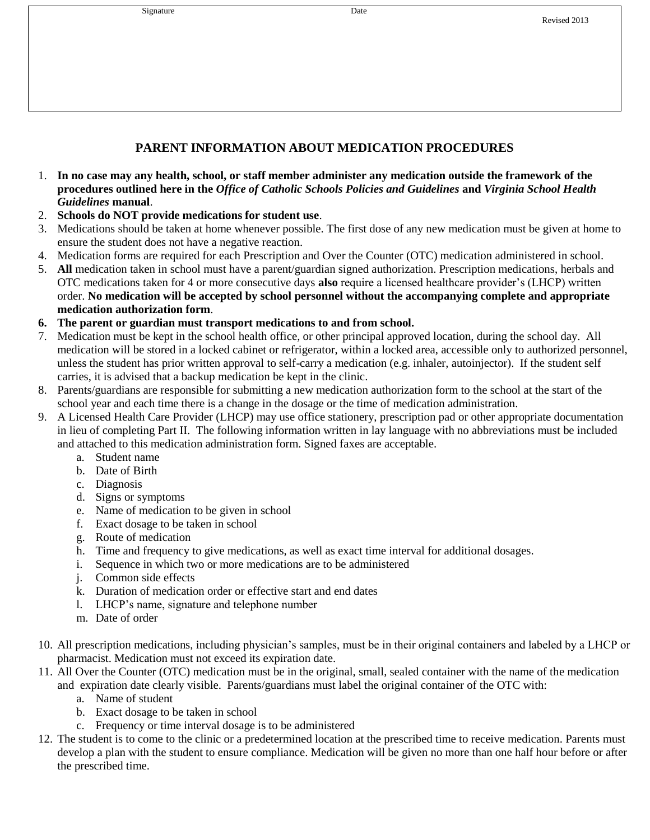| Signature | Date |
|-----------|------|
|           |      |

## **PARENT INFORMATION ABOUT MEDICATION PROCEDURES**

- 1. **In no case may any health, school, or staff member administer any medication outside the framework of the procedures outlined here in the** *Office of Catholic Schools Policies and Guidelines* **and** *Virginia School Health Guidelines* **manual**.
- 2. **Schools do NOT provide medications for student use**.
- 3. Medications should be taken at home whenever possible. The first dose of any new medication must be given at home to ensure the student does not have a negative reaction.
- 4. Medication forms are required for each Prescription and Over the Counter (OTC) medication administered in school.
- 5. **All** medication taken in school must have a parent/guardian signed authorization. Prescription medications, herbals and OTC medications taken for 4 or more consecutive days **also** require a licensed healthcare provider's (LHCP) written order. **No medication will be accepted by school personnel without the accompanying complete and appropriate medication authorization form**.
- **6. The parent or guardian must transport medications to and from school.**
- 7. Medication must be kept in the school health office, or other principal approved location, during the school day. All medication will be stored in a locked cabinet or refrigerator, within a locked area, accessible only to authorized personnel, unless the student has prior written approval to self-carry a medication (e.g. inhaler, autoinjector). If the student self carries, it is advised that a backup medication be kept in the clinic.
- 8. Parents/guardians are responsible for submitting a new medication authorization form to the school at the start of the school year and each time there is a change in the dosage or the time of medication administration.
- 9. A Licensed Health Care Provider (LHCP) may use office stationery, prescription pad or other appropriate documentation in lieu of completing Part II. The following information written in lay language with no abbreviations must be included and attached to this medication administration form. Signed faxes are acceptable.
	- a. Student name
	- b. Date of Birth
	- c. Diagnosis
	- d. Signs or symptoms
	- e. Name of medication to be given in school
	- f. Exact dosage to be taken in school
	- g. Route of medication
	- h. Time and frequency to give medications, as well as exact time interval for additional dosages.
	- i. Sequence in which two or more medications are to be administered
	- j. Common side effects
	- k. Duration of medication order or effective start and end dates
	- l. LHCP's name, signature and telephone number
	- m. Date of order
- 10. All prescription medications, including physician's samples, must be in their original containers and labeled by a LHCP or pharmacist. Medication must not exceed its expiration date.
- 11. All Over the Counter (OTC) medication must be in the original, small, sealed container with the name of the medication and expiration date clearly visible. Parents/guardians must label the original container of the OTC with:
	- a. Name of student
	- b. Exact dosage to be taken in school
	- c. Frequency or time interval dosage is to be administered
- 12. The student is to come to the clinic or a predetermined location at the prescribed time to receive medication. Parents must develop a plan with the student to ensure compliance. Medication will be given no more than one half hour before or after the prescribed time.